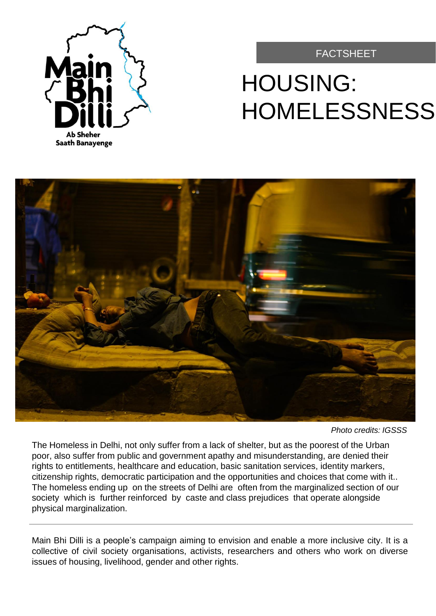

#### FACTSHEET

# HOUSING: HOMELESSNESS



*Photo credits: IGSSS*

The Homeless in Delhi, not only suffer from a lack of shelter, but as the poorest of the Urban poor, also suffer from public and government apathy and misunderstanding, are denied their rights to entitlements, healthcare and education, basic sanitation services, identity markers, citizenship rights, democratic participation and the opportunities and choices that come with it.. The homeless ending up on the streets of Delhi are often from the marginalized section of our society which is further reinforced by caste and class prejudices that operate alongside physical marginalization.

Main Bhi Dilli is a people's campaign aiming to envision and enable a more inclusive city. It is a collective of civil society organisations, activists, researchers and others who work on diverse issues of housing, livelihood, gender and other rights.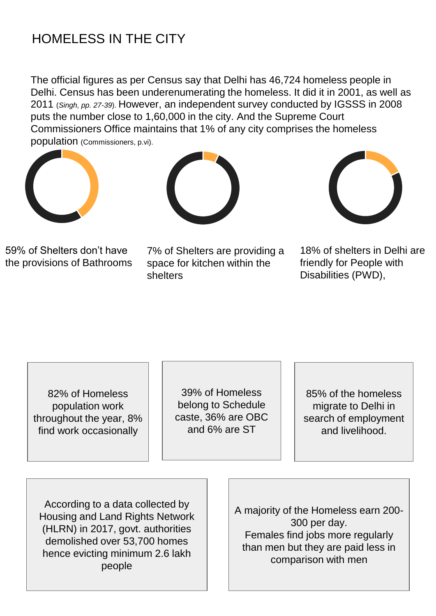### HOMELESS IN THE CITY

The official figures as per Census say that Delhi has 46,724 homeless people in Delhi. Census has been underenumerating the homeless. It did it in 2001, as well as 2011 (*Singh, pp. 27-39*). However, an independent survey conducted by IGSSS in 2008 puts the number close to 1,60,000 in the city. And the Supreme Court Commissioners Office maintains that 1% of any city comprises the homeless population (Commissioners, p.vi).







59% of Shelters don't have the provisions of Bathrooms

7% of Shelters are providing a space for kitchen within the shelters

18% of shelters in Delhi are friendly for People with Disabilities (PWD),

82% of Homeless population work throughout the year, 8% find work occasionally

39% of Homeless belong to Schedule caste, 36% are OBC and 6% are ST

85% of the homeless migrate to Delhi in search of employment and livelihood.

According to a data collected by Housing and Land Rights Network (HLRN) in 2017, govt. authorities demolished over 53,700 homes hence evicting minimum 2.6 lakh people

A majority of the Homeless earn 200- 300 per day. Females find jobs more regularly than men but they are paid less in comparison with men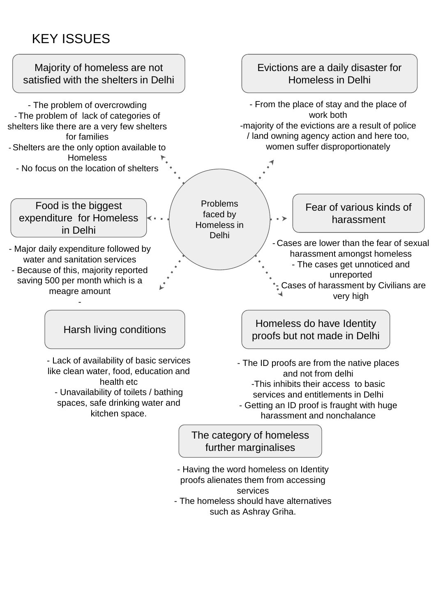## KEY ISSUES



- The homeless should have alternatives such as Ashray Griha.